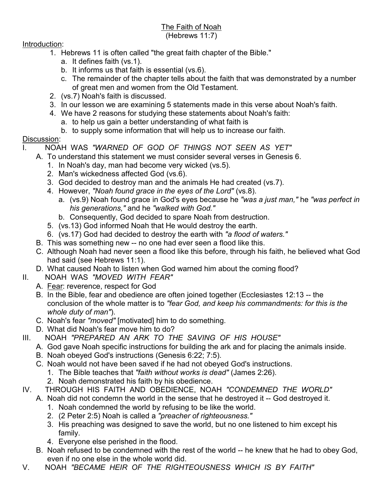# The Faith of Noah

#### (Hebrews 11:7)

#### Introduction:

- 1. Hebrews 11 is often called "the great faith chapter of the Bible."
	- a. It defines faith (vs.1).
	- b. It informs us that faith is essential (vs.6).
	- c. The remainder of the chapter tells about the faith that was demonstrated by a number of great men and women from the Old Testament.
- 2. (vs.7) Noah's faith is discussed.
- 3. In our lesson we are examining 5 statements made in this verse about Noah's faith.
- 4. We have 2 reasons for studying these statements about Noah's faith:
	- a. to help us gain a better understanding of what faith is
	- b. to supply some information that will help us to increase our faith.

## Discussion:

## I. NOAH WAS *"WARNED OF GOD OF THINGS NOT SEEN AS YET"*

- A. To understand this statement we must consider several verses in Genesis 6.
	- 1. In Noah's day, man had become very wicked (vs.5).
	- 2. Man's wickedness affected God (vs.6).
	- 3. God decided to destroy man and the animals He had created (vs.7).
	- 4. However, *"Noah found grace in the eyes of the Lord"* (vs.8).
		- a. (vs.9) Noah found grace in God's eyes because he *"was a just man,"* he *"was perfect in his generations,"* and he *"walked with God."*
		- b. Consequently, God decided to spare Noah from destruction.
	- 5. (vs.13) God informed Noah that He would destroy the earth.
	- 6. (vs.17) God had decided to destroy the earth with *"a flood of waters."*
- B. This was something new -- no one had ever seen a flood like this.
- C. Although Noah had never seen a flood like this before, through his faith, he believed what God had said (see Hebrews 11:1).
- D. What caused Noah to listen when God warned him about the coming flood?
- II. NOAH WAS *"MOVED WITH FEAR"*
	- A. Fear: reverence, respect for God
	- B. In the Bible, fear and obedience are often joined together (Ecclesiastes 12:13 -- the conclusion of the whole matter is to *"fear God, and keep his commandments: for this is the whole duty of man"*).
	- C. Noah's fear *"moved"* [motivated] him to do something.
	- D. What did Noah's fear move him to do?
- III. NOAH *"PREPARED AN ARK TO THE SAVING OF HIS HOUSE"*
	- A. God gave Noah specific instructions for building the ark and for placing the animals inside.
	- B. Noah obeyed God's instructions (Genesis 6:22; 7:5).
	- C. Noah would not have been saved if he had not obeyed God's instructions.
		- 1. The Bible teaches that *"faith without works is dead"* (James 2:26).
		- 2. Noah demonstrated his faith by his obedience.
- IV. THROUGH HIS FAITH AND OBEDIENCE, NOAH *"CONDEMNED THE WORLD"*
	- A. Noah did not condemn the world in the sense that he destroyed it -- God destroyed it.
		- 1. Noah condemned the world by refusing to be like the world.
		- 2. (2 Peter 2:5) Noah is called a *"preacher of righteousness."*
		- 3. His preaching was designed to save the world, but no one listened to him except his family.
		- 4. Everyone else perished in the flood.
	- B. Noah refused to be condemned with the rest of the world -- he knew that he had to obey God, even if no one else in the whole world did.
- V. NOAH *"BECAME HEIR OF THE RIGHTEOUSNESS WHICH IS BY FAITH"*